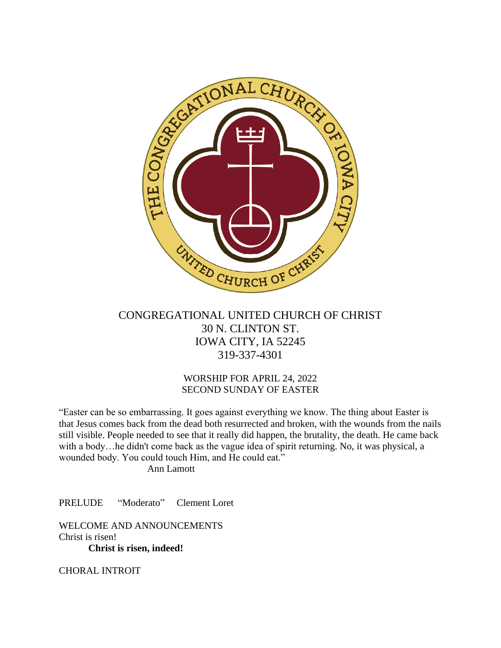

# CONGREGATIONAL UNITED CHURCH OF CHRIST 30 N. CLINTON ST. IOWA CITY, IA 52245 319-337-4301

## WORSHIP FOR APRIL 24, 2022 SECOND SUNDAY OF EASTER

"Easter can be so embarrassing. It goes against everything we know. The thing about Easter is that Jesus comes back from the dead both resurrected and broken, with the wounds from the nails still visible. People needed to see that it really did happen, the brutality, the death. He came back with a body…he didn't come back as the vague idea of spirit returning. No, it was physical, a wounded body. You could touch Him, and He could eat." Ann Lamott

PRELUDE "Moderato" Clement Loret

WELCOME AND ANNOUNCEMENTS Christ is risen! **Christ is risen, indeed!**

CHORAL INTROIT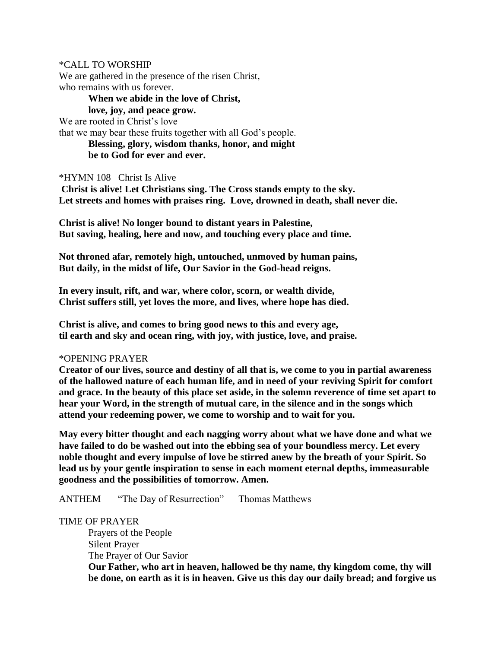#### \*CALL TO WORSHIP

We are gathered in the presence of the risen Christ, who remains with us forever.

**When we abide in the love of Christ, love, joy, and peace grow.** We are rooted in Christ's love that we may bear these fruits together with all God's people. **Blessing, glory, wisdom thanks, honor, and might be to God for ever and ever.**

#### \*HYMN 108 Christ Is Alive

**Christ is alive! Let Christians sing. The Cross stands empty to the sky. Let streets and homes with praises ring. Love, drowned in death, shall never die.**

**Christ is alive! No longer bound to distant years in Palestine, But saving, healing, here and now, and touching every place and time.**

**Not throned afar, remotely high, untouched, unmoved by human pains, But daily, in the midst of life, Our Savior in the God-head reigns.**

**In every insult, rift, and war, where color, scorn, or wealth divide, Christ suffers still, yet loves the more, and lives, where hope has died.**

**Christ is alive, and comes to bring good news to this and every age, til earth and sky and ocean ring, with joy, with justice, love, and praise.**

#### \*OPENING PRAYER

**Creator of our lives, source and destiny of all that is, we come to you in partial awareness of the hallowed nature of each human life, and in need of your reviving Spirit for comfort and grace. In the beauty of this place set aside, in the solemn reverence of time set apart to hear your Word, in the strength of mutual care, in the silence and in the songs which attend your redeeming power, we come to worship and to wait for you.**

**May every bitter thought and each nagging worry about what we have done and what we have failed to do be washed out into the ebbing sea of your boundless mercy. Let every noble thought and every impulse of love be stirred anew by the breath of your Spirit. So lead us by your gentle inspiration to sense in each moment eternal depths, immeasurable goodness and the possibilities of tomorrow. Amen.**

ANTHEM "The Day of Resurrection" Thomas Matthews

#### TIME OF PRAYER

Prayers of the People Silent Prayer The Prayer of Our Savior

**Our Father, who art in heaven, hallowed be thy name, thy kingdom come, thy will be done, on earth as it is in heaven. Give us this day our daily bread; and forgive us**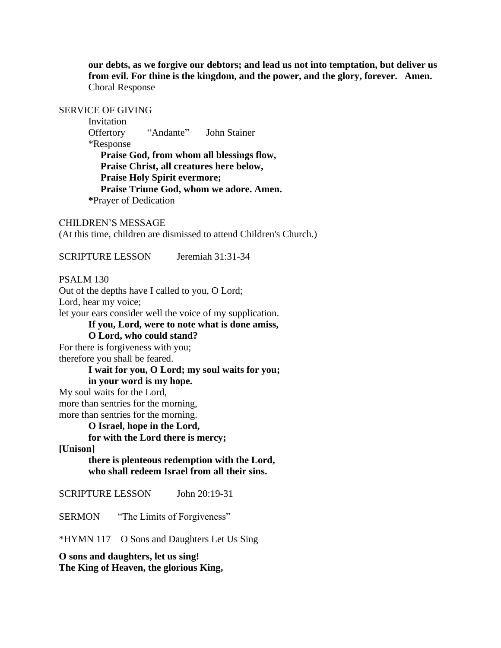**our debts, as we forgive our debtors; and lead us not into temptation, but deliver us from evil. For thine is the kingdom, and the power, and the glory, forever. Amen.** Choral Response

SERVICE OF GIVING

Invitation Offertory "Andante" John Stainer \*Response **Praise God, from whom all blessings flow, Praise Christ, all creatures here below, Praise Holy Spirit evermore; Praise Triune God, whom we adore. Amen. \***Prayer of Dedication

CHILDREN'S MESSAGE

(At this time, children are dismissed to attend Children's Church.)

SCRIPTURE LESSON Jeremiah 31:31-34

PSALM 130

Out of the depths have I called to you, O Lord; Lord, hear my voice;

let your ears consider well the voice of my supplication.

**If you, Lord, were to note what is done amiss,** 

**O Lord, who could stand?** For there is forgiveness with you;

therefore you shall be feared.

**I wait for you, O Lord; my soul waits for you; in your word is my hope.**

My soul waits for the Lord,

more than sentries for the morning, more than sentries for the morning.

**O Israel, hope in the Lord,** 

**for with the Lord there is mercy;**

**[Unison]**

**there is plenteous redemption with the Lord, who shall redeem Israel from all their sins.**

SCRIPTURE LESSON John 20:19-31

SERMON "The Limits of Forgiveness"

\*HYMN 117 O Sons and Daughters Let Us Sing

**O sons and daughters, let us sing! The King of Heaven, the glorious King,**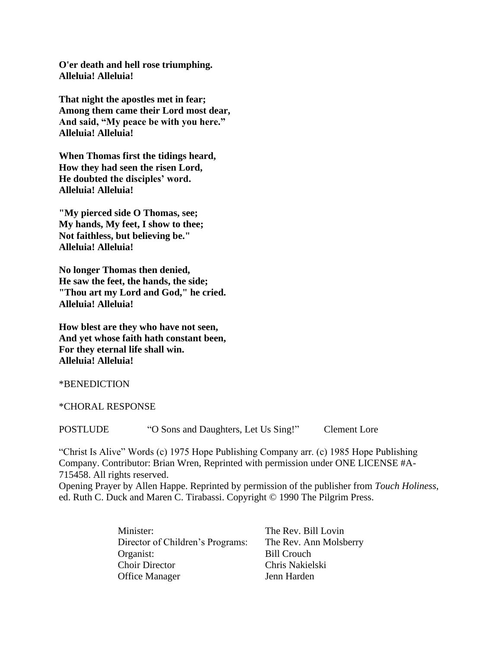**O'er death and hell rose triumphing. Alleluia! Alleluia!**

**That night the apostles met in fear; Among them came their Lord most dear, And said, "My peace be with you here." Alleluia! Alleluia!**

**When Thomas first the tidings heard, How they had seen the risen Lord, He doubted the disciples' word. Alleluia! Alleluia!**

**"My pierced side O Thomas, see; My hands, My feet, I show to thee; Not faithless, but believing be." Alleluia! Alleluia!**

**No longer Thomas then denied, He saw the feet, the hands, the side; "Thou art my Lord and God," he cried. Alleluia! Alleluia!**

**How blest are they who have not seen, And yet whose faith hath constant been, For they eternal life shall win. Alleluia! Alleluia!**

\*BENEDICTION

\*CHORAL RESPONSE

POSTLUDE "O Sons and Daughters, Let Us Sing!" Clement Lore

"Christ Is Alive" Words (c) 1975 Hope Publishing Company arr. (c) 1985 Hope Publishing Company. Contributor: Brian Wren, Reprinted with permission under ONE LICENSE #A-715458. All rights reserved.

Opening Prayer by Allen Happe. Reprinted by permission of the publisher from *Touch Holiness*, ed. Ruth C. Duck and Maren C. Tirabassi. Copyright © 1990 The Pilgrim Press.

> Minister: The Rev. Bill Lovin Director of Children's Programs: The Rev. Ann Molsberry Organist: Bill Crouch Choir Director Chris Nakielski Office Manager Jenn Harden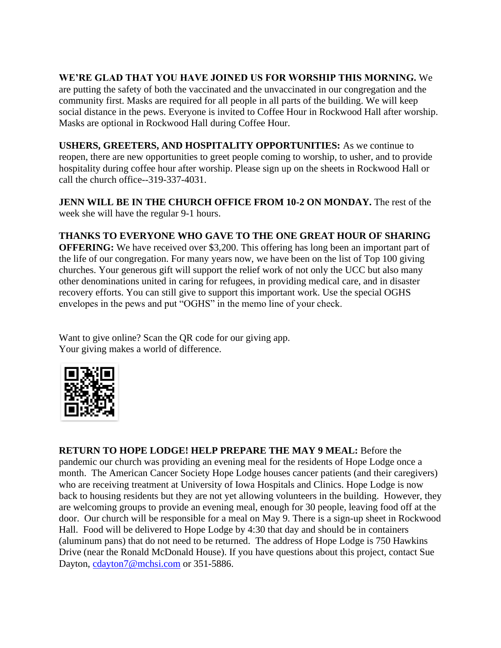# **WE'RE GLAD THAT YOU HAVE JOINED US FOR WORSHIP THIS MORNING.** We

are putting the safety of both the vaccinated and the unvaccinated in our congregation and the community first. Masks are required for all people in all parts of the building. We will keep social distance in the pews. Everyone is invited to Coffee Hour in Rockwood Hall after worship. Masks are optional in Rockwood Hall during Coffee Hour.

**USHERS, GREETERS, AND HOSPITALITY OPPORTUNITIES:** As we continue to reopen, there are new opportunities to greet people coming to worship, to usher, and to provide hospitality during coffee hour after worship. Please sign up on the sheets in Rockwood Hall or call the church office--319-337-4031.

**JENN WILL BE IN THE CHURCH OFFICE FROM 10-2 ON MONDAY.** The rest of the week she will have the regular 9-1 hours.

**THANKS TO EVERYONE WHO GAVE TO THE ONE GREAT HOUR OF SHARING OFFERING:** We have received over \$3,200. This offering has long been an important part of the life of our congregation. For many years now, we have been on the list of Top 100 giving churches. Your generous gift will support the relief work of not only the UCC but also many other denominations united in caring for refugees, in providing medical care, and in disaster recovery efforts. You can still give to support this important work. Use the special OGHS envelopes in the pews and put "OGHS" in the memo line of your check.

Want to give online? Scan the QR code for our giving app. Your giving makes a world of difference.



**RETURN TO HOPE LODGE! HELP PREPARE THE MAY 9 MEAL:** Before the pandemic our church was providing an evening meal for the residents of Hope Lodge once a month. The American Cancer Society Hope Lodge houses cancer patients (and their caregivers) who are receiving treatment at University of Iowa Hospitals and Clinics. Hope Lodge is now back to housing residents but they are not yet allowing volunteers in the building. However, they are welcoming groups to provide an evening meal, enough for 30 people, leaving food off at the door. Our church will be responsible for a meal on May 9. There is a sign-up sheet in Rockwood Hall. Food will be delivered to Hope Lodge by 4:30 that day and should be in containers (aluminum pans) that do not need to be returned. The address of Hope Lodge is 750 Hawkins Drive (near the Ronald McDonald House). If you have questions about this project, contact Sue Dayton, [cdayton7@mchsi.com](mailto:cdayton7@mchsi.com) or 351-5886.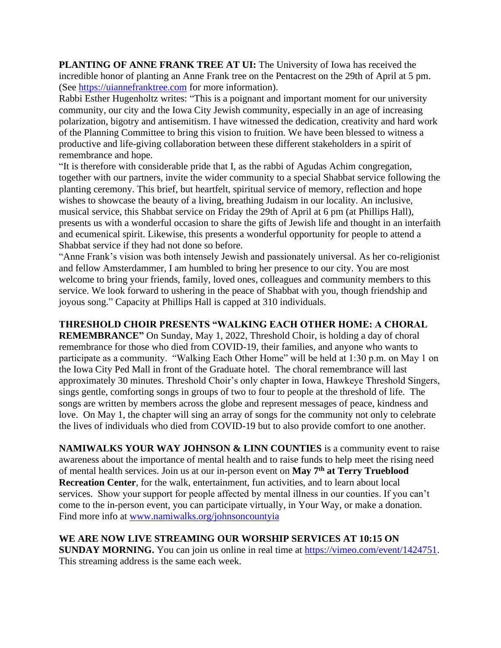**PLANTING OF ANNE FRANK TREE AT UI:** The University of Iowa has received the incredible honor of planting an Anne Frank tree on the Pentacrest on the 29th of April at 5 pm. (See [https://uiannefranktree.com](https://uiannefranktree.com/) for more information).

Rabbi Esther Hugenholtz writes: "This is a poignant and important moment for our university community, our city and the Iowa City Jewish community, especially in an age of increasing polarization, bigotry and antisemitism. I have witnessed the dedication, creativity and hard work of the Planning Committee to bring this vision to fruition. We have been blessed to witness a productive and life-giving collaboration between these different stakeholders in a spirit of remembrance and hope.

"It is therefore with considerable pride that I, as the rabbi of Agudas Achim congregation, together with our partners, invite the wider community to a special Shabbat service following the planting ceremony. This brief, but heartfelt, spiritual service of memory, reflection and hope wishes to showcase the beauty of a living, breathing Judaism in our locality. An inclusive, musical service, this Shabbat service on Friday the 29th of April at 6 pm (at Phillips Hall), presents us with a wonderful occasion to share the gifts of Jewish life and thought in an interfaith and ecumenical spirit. Likewise, this presents a wonderful opportunity for people to attend a Shabbat service if they had not done so before.

"Anne Frank's vision was both intensely Jewish and passionately universal. As her co-religionist and fellow Amsterdammer, I am humbled to bring her presence to our city. You are most welcome to bring your friends, family, loved ones, colleagues and community members to this service. We look forward to ushering in the peace of Shabbat with you, though friendship and joyous song." Capacity at Phillips Hall is capped at 310 individuals.

### **THRESHOLD CHOIR PRESENTS "WALKING EACH OTHER HOME: A CHORAL**

**REMEMBRANCE"** On Sunday, May 1, 2022, Threshold Choir, is holding a day of choral remembrance for those who died from COVID-19, their families, and anyone who wants to participate as a community. "Walking Each Other Home" will be held at 1:30 p.m. on May 1 on the Iowa City Ped Mall in front of the Graduate hotel. The choral remembrance will last approximately 30 minutes. Threshold Choir's only chapter in Iowa, Hawkeye Threshold Singers, sings gentle, comforting songs in groups of two to four to people at the threshold of life. The songs are written by members across the globe and represent messages of peace, kindness and love. On May 1, the chapter will sing an array of songs for the community not only to celebrate the lives of individuals who died from COVID-19 but to also provide comfort to one another.

**NAMIWALKS YOUR WAY JOHNSON & LINN COUNTIES** is a community event to raise awareness about the importance of mental health and to raise funds to help meet the rising need of mental health services. Join us at our in-person event on **May 7th at Terry Trueblood Recreation Center**, for the walk, entertainment, fun activities, and to learn about local services. Show your support for people affected by mental illness in our counties. If you can't come to the in-person event, you can participate virtually, in Your Way, or make a donation. Find more info at [www.namiwalks.org/johnsoncountyia](http://www.namiwalks.org/johnsoncountyia)

**WE ARE NOW LIVE STREAMING OUR WORSHIP SERVICES AT 10:15 ON SUNDAY MORNING.** You can join us online in real time at [https://vimeo.com/event/1424751.](https://vimeo.com/event/1424751) This streaming address is the same each week.